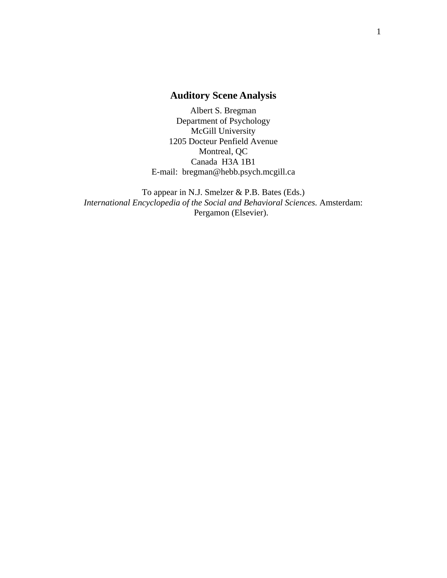# **Auditory Scene Analysis**

Albert S. Bregman Department of Psychology McGill University 1205 Docteur Penfield Avenue Montreal, QC Canada H3A 1B1 E-mail: bregman@hebb.psych.mcgill.ca

To appear in N.J. Smelzer & P.B. Bates (Eds.) *International Encyclopedia of the Social and Behavioral Sciences.* Amsterdam: Pergamon (Elsevier).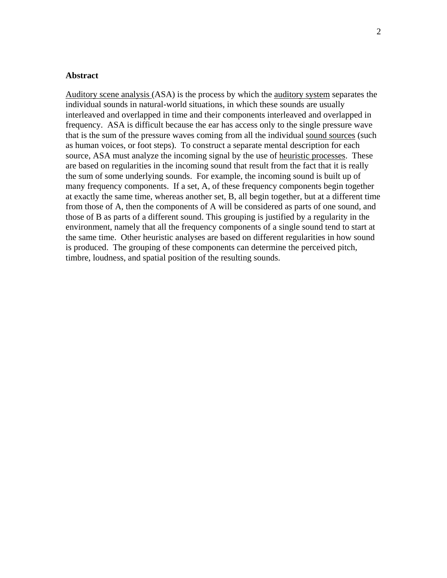#### **Abstract**

Auditory scene analysis (ASA) is the process by which the auditory system separates the individual sounds in natural-world situations, in which these sounds are usually interleaved and overlapped in time and their components interleaved and overlapped in frequency. ASA is difficult because the ear has access only to the single pressure wave that is the sum of the pressure waves coming from all the individual sound sources (such as human voices, or foot steps). To construct a separate mental description for each source, ASA must analyze the incoming signal by the use of heuristic processes. These are based on regularities in the incoming sound that result from the fact that it is really the sum of some underlying sounds. For example, the incoming sound is built up of many frequency components. If a set, A, of these frequency components begin together at exactly the same time, whereas another set, B, all begin together, but at a different time from those of A, then the components of A will be considered as parts of one sound, and those of B as parts of a different sound. This grouping is justified by a regularity in the environment, namely that all the frequency components of a single sound tend to start at the same time. Other heuristic analyses are based on different regularities in how sound is produced. The grouping of these components can determine the perceived pitch, timbre, loudness, and spatial position of the resulting sounds.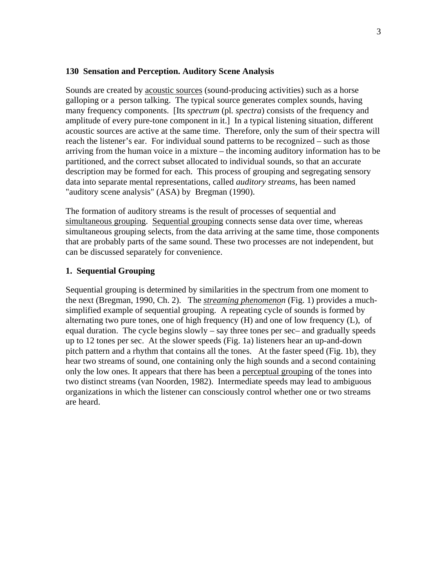### **130 Sensation and Perception. Auditory Scene Analysis**

Sounds are created by acoustic sources (sound-producing activities) such as a horse galloping or a person talking. The typical source generates complex sounds, having many frequency components. [Its *spectrum* (pl*. spectra*) consists of the frequency and amplitude of every pure-tone component in it.] In a typical listening situation, different acoustic sources are active at the same time. Therefore, only the sum of their spectra will reach the listener's ear. For individual sound patterns to be recognized – such as those arriving from the human voice in a mixture – the incoming auditory information has to be partitioned, and the correct subset allocated to individual sounds, so that an accurate description may be formed for each. This process of grouping and segregating sensory data into separate mental representations, called *auditory streams,* has been named "auditory scene analysis" (ASA) by Bregman (1990).

The formation of auditory streams is the result of processes of sequential and simultaneous grouping. Sequential grouping connects sense data over time, whereas simultaneous grouping selects, from the data arriving at the same time, those components that are probably parts of the same sound. These two processes are not independent, but can be discussed separately for convenience.

## **1. Sequential Grouping**

Sequential grouping is determined by similarities in the spectrum from one moment to the next (Bregman, 1990, Ch. 2). The *streaming phenomenon* (Fig. 1) provides a muchsimplified example of sequential grouping. A repeating cycle of sounds is formed by alternating two pure tones, one of high frequency (H) and one of low frequency (L), of equal duration. The cycle begins slowly – say three tones per sec– and gradually speeds up to 12 tones per sec. At the slower speeds (Fig. 1a) listeners hear an up-and-down pitch pattern and a rhythm that contains all the tones. At the faster speed (Fig. 1b), they hear two streams of sound, one containing only the high sounds and a second containing only the low ones. It appears that there has been a perceptual grouping of the tones into two distinct streams (van Noorden, 1982). Intermediate speeds may lead to ambiguous organizations in which the listener can consciously control whether one or two streams are heard.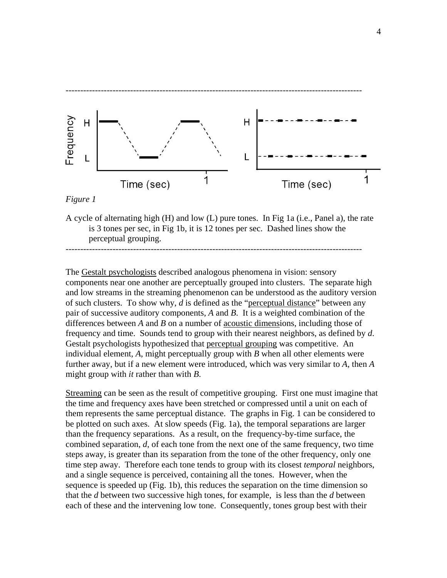

#### *Figure 1*

A cycle of alternating high (H) and low (L) pure tones. In Fig 1a (i.e., Panel a), the rate is 3 tones per sec, in Fig 1b, it is 12 tones per sec. Dashed lines show the perceptual grouping.

-----------------------------------------------------------------------------------------------------

The Gestalt psychologists described analogous phenomena in vision: sensory components near one another are perceptually grouped into clusters. The separate high and low streams in the streaming phenomenon can be understood as the auditory version of such clusters. To show why, *d* is defined as the "perceptual distance" between any pair of successive auditory components, *A* and *B*. It is a weighted combination of the differences between *A* and *B* on a number of acoustic dimensions, including those of frequency and time. Sounds tend to group with their nearest neighbors, as defined by *d*. Gestalt psychologists hypothesized that perceptual grouping was competitive. An individual element, *A*, might perceptually group with *B* when all other elements were further away, but if a new element were introduced, which was very similar to *A*, then *A* might group with *it* rather than with *B*.

Streaming can be seen as the result of competitive grouping. First one must imagine that the time and frequency axes have been stretched or compressed until a unit on each of them represents the same perceptual distance. The graphs in Fig. 1 can be considered to be plotted on such axes. At slow speeds (Fig. 1a), the temporal separations are larger than the frequency separations. As a result, on the frequency-by-time surface, the combined separation, *d*, of each tone from the next one of the same frequency, two time steps away, is greater than its separation from the tone of the other frequency, only one time step away. Therefore each tone tends to group with its closest *temporal* neighbors, and a single sequence is perceived, containing all the tones. However, when the sequence is speeded up (Fig. 1b), this reduces the separation on the time dimension so that the *d* between two successive high tones, for example, is less than the *d* between each of these and the intervening low tone. Consequently, tones group best with their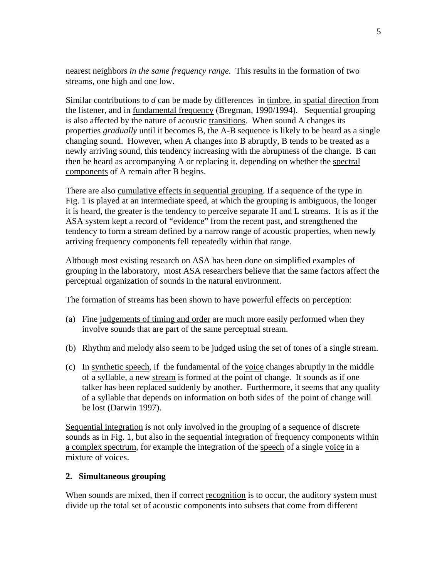nearest neighbors *in the same frequency range.* This results in the formation of two streams, one high and one low.

Similar contributions to *d* can be made by differences in timbre, in spatial direction from the listener, and in fundamental frequency (Bregman, 1990/1994). Sequential grouping is also affected by the nature of acoustic transitions. When sound A changes its properties *gradually* until it becomes B, the A-B sequence is likely to be heard as a single changing sound. However, when A changes into B abruptly, B tends to be treated as a newly arriving sound, this tendency increasing with the abruptness of the change. B can then be heard as accompanying A or replacing it, depending on whether the spectral components of A remain after B begins.

There are also cumulative effects in sequential grouping. If a sequence of the type in Fig. 1 is played at an intermediate speed, at which the grouping is ambiguous, the longer it is heard, the greater is the tendency to perceive separate H and L streams. It is as if the ASA system kept a record of "evidence" from the recent past, and strengthened the tendency to form a stream defined by a narrow range of acoustic properties, when newly arriving frequency components fell repeatedly within that range.

Although most existing research on ASA has been done on simplified examples of grouping in the laboratory, most ASA researchers believe that the same factors affect the perceptual organization of sounds in the natural environment.

The formation of streams has been shown to have powerful effects on perception:

- (a) Fine judgements of timing and order are much more easily performed when they involve sounds that are part of the same perceptual stream.
- (b) Rhythm and melody also seem to be judged using the set of tones of a single stream.
- (c) In synthetic speech, if the fundamental of the voice changes abruptly in the middle of a syllable, a new stream is formed at the point of change. It sounds as if one talker has been replaced suddenly by another. Furthermore, it seems that any quality of a syllable that depends on information on both sides of the point of change will be lost (Darwin 1997).

Sequential integration is not only involved in the grouping of a sequence of discrete sounds as in Fig. 1, but also in the sequential integration of frequency components within a complex spectrum, for example the integration of the speech of a single voice in a mixture of voices.

## **2. Simultaneous grouping**

When sounds are mixed, then if correct recognition is to occur, the auditory system must divide up the total set of acoustic components into subsets that come from different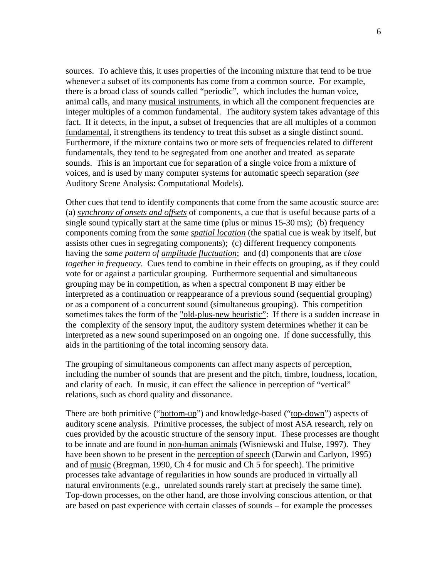sources. To achieve this, it uses properties of the incoming mixture that tend to be true whenever a subset of its components has come from a common source. For example, there is a broad class of sounds called "periodic", which includes the human voice, animal calls, and many musical instruments, in which all the component frequencies are integer multiples of a common fundamental. The auditory system takes advantage of this fact. If it detects, in the input, a subset of frequencies that are all multiples of a common fundamental, it strengthens its tendency to treat this subset as a single distinct sound. Furthermore, if the mixture contains two or more sets of frequencies related to different fundamentals, they tend to be segregated from one another and treated as separate sounds. This is an important cue for separation of a single voice from a mixture of voices, and is used by many computer systems for automatic speech separation (*see*  Auditory Scene Analysis: Computational Models).

Other cues that tend to identify components that come from the same acoustic source are: (a) *synchrony of onsets and offsets* of components, a cue that is useful because parts of a single sound typically start at the same time (plus or minus 15-30 ms); (b) frequency components coming from the *same spatial location* (the spatial cue is weak by itself, but assists other cues in segregating components); (c) different frequency components having the *same pattern of amplitude fluctuation*; and (d) components that are *close together in frequency*. Cues tend to combine in their effects on grouping, as if they could vote for or against a particular grouping. Furthermore sequential and simultaneous grouping may be in competition, as when a spectral component B may either be interpreted as a continuation or reappearance of a previous sound (sequential grouping) or as a component of a concurrent sound (simultaneous grouping). This competition sometimes takes the form of the "old-plus-new heuristic": If there is a sudden increase in the complexity of the sensory input, the auditory system determines whether it can be interpreted as a new sound superimposed on an ongoing one. If done successfully, this aids in the partitioning of the total incoming sensory data.

The grouping of simultaneous components can affect many aspects of perception, including the number of sounds that are present and the pitch, timbre, loudness, location, and clarity of each. In music, it can effect the salience in perception of "vertical" relations, such as chord quality and dissonance.

There are both primitive ("bottom-up") and knowledge-based ("top-down") aspects of auditory scene analysis. Primitive processes, the subject of most ASA research, rely on cues provided by the acoustic structure of the sensory input. These processes are thought to be innate and are found in non-human animals (Wisniewski and Hulse, 1997). They have been shown to be present in the perception of speech (Darwin and Carlyon, 1995) and of music (Bregman, 1990, Ch 4 for music and Ch 5 for speech). The primitive processes take advantage of regularities in how sounds are produced in virtually all natural environments (e.g., unrelated sounds rarely start at precisely the same time). Top-down processes, on the other hand, are those involving conscious attention, or that are based on past experience with certain classes of sounds – for example the processes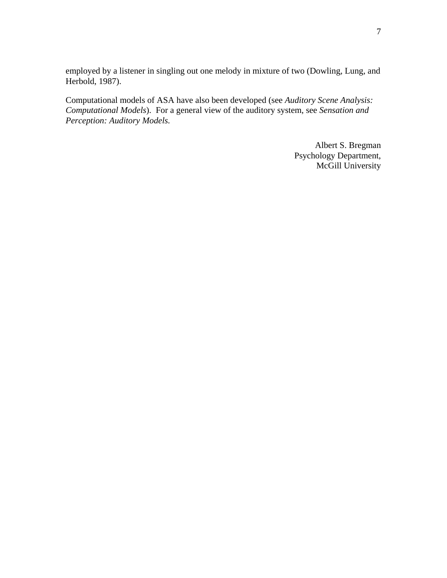employed by a listener in singling out one melody in mixture of two (Dowling, Lung, and Herbold, 1987).

Computational models of ASA have also been developed (see *Auditory Scene Analysis: Computational Models*). For a general view of the auditory system, see *Sensation and Perception: Auditory Models.* 

> Albert S. Bregman Psychology Department, McGill University